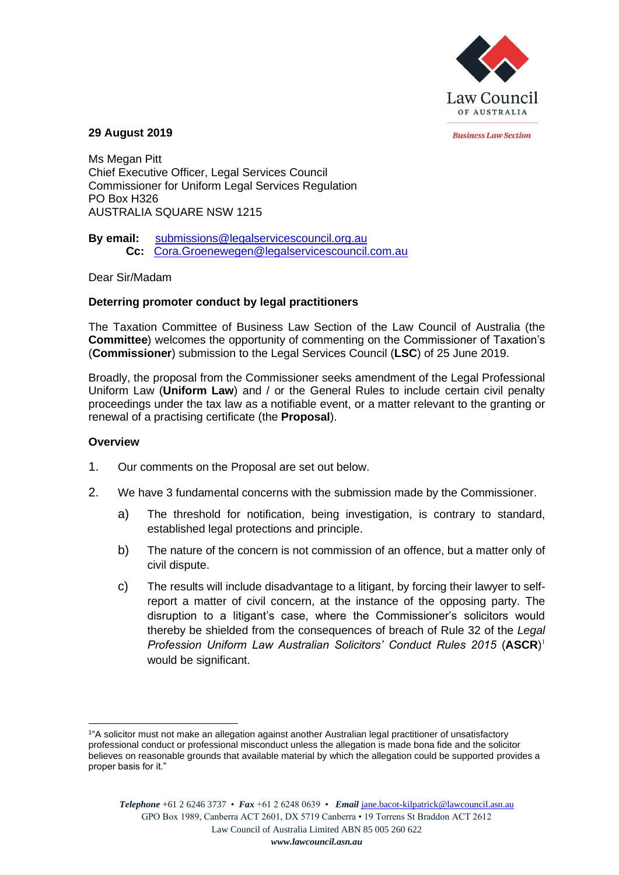

*<u>Rusiness Law Section</u>* 

### **29 August 2019**

Ms Megan Pitt Chief Executive Officer, Legal Services Council Commissioner for Uniform Legal Services Regulation PO Box H326 AUSTRALIA SQUARE NSW 1215

**By email:** [submissions@legalservicescouncil.org.au](mailto:submissions@legalservicescouncil.org.au) **Cc:** [Cora.Groenewegen@legalservicescouncil.com.au](mailto:Cora.Groenewegen@legalservicescouncil.com.au)

Dear Sir/Madam

# **Deterring promoter conduct by legal practitioners**

The Taxation Committee of Business Law Section of the Law Council of Australia (the **Committee**) welcomes the opportunity of commenting on the Commissioner of Taxation's (**Commissioner**) submission to the Legal Services Council (**LSC**) of 25 June 2019.

Broadly, the proposal from the Commissioner seeks amendment of the Legal Professional Uniform Law (**Uniform Law**) and / or the General Rules to include certain civil penalty proceedings under the tax law as a notifiable event, or a matter relevant to the granting or renewal of a practising certificate (the **Proposal**).

## **Overview**

- 1. Our comments on the Proposal are set out below.
- 2. We have 3 fundamental concerns with the submission made by the Commissioner.
	- a) The threshold for notification, being investigation, is contrary to standard, established legal protections and principle.
	- b) The nature of the concern is not commission of an offence, but a matter only of civil dispute.
	- c) The results will include disadvantage to a litigant, by forcing their lawyer to selfreport a matter of civil concern, at the instance of the opposing party. The disruption to a litigant's case, where the Commissioner's solicitors would thereby be shielded from the consequences of breach of Rule 32 of the *Legal Profession Uniform Law Australian Solicitors' Conduct Rules 2015* (**ASCR**) 1 would be significant.

<sup>1</sup> "A solicitor must not make an allegation against another Australian legal practitioner of unsatisfactory professional conduct or professional misconduct unless the allegation is made bona fide and the solicitor believes on reasonable grounds that available material by which the allegation could be supported provides a proper basis for it."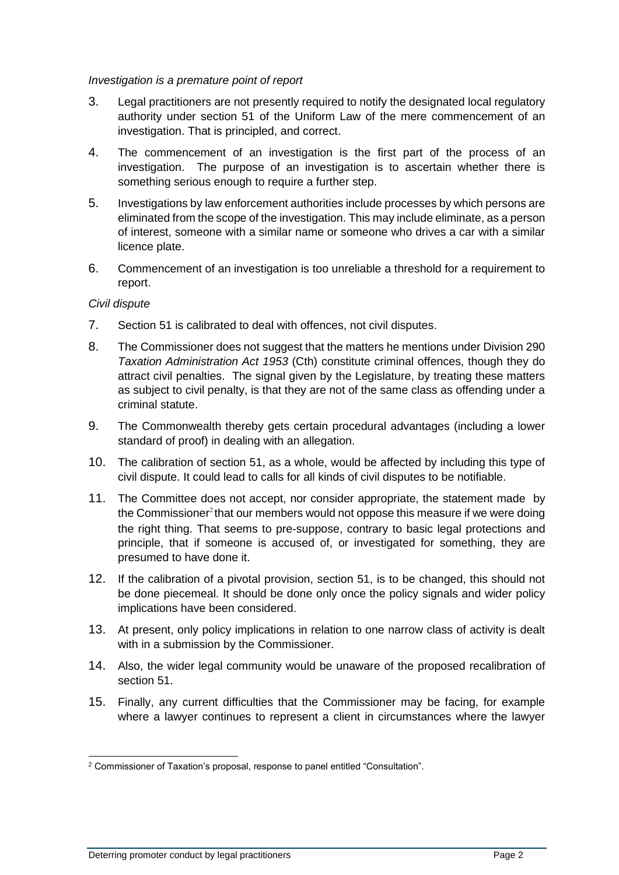## *Investigation is a premature point of report*

- 3. Legal practitioners are not presently required to notify the designated local regulatory authority under section 51 of the Uniform Law of the mere commencement of an investigation. That is principled, and correct.
- 4. The commencement of an investigation is the first part of the process of an investigation. The purpose of an investigation is to ascertain whether there is something serious enough to require a further step.
- 5. Investigations by law enforcement authorities include processes by which persons are eliminated from the scope of the investigation. This may include eliminate, as a person of interest, someone with a similar name or someone who drives a car with a similar licence plate.
- 6. Commencement of an investigation is too unreliable a threshold for a requirement to report.

# *Civil dispute*

- 7. Section 51 is calibrated to deal with offences, not civil disputes.
- 8. The Commissioner does not suggest that the matters he mentions under Division 290 *Taxation Administration Act 1953* (Cth) constitute criminal offences, though they do attract civil penalties. The signal given by the Legislature, by treating these matters as subject to civil penalty, is that they are not of the same class as offending under a criminal statute.
- 9. The Commonwealth thereby gets certain procedural advantages (including a lower standard of proof) in dealing with an allegation.
- 10. The calibration of section 51, as a whole, would be affected by including this type of civil dispute. It could lead to calls for all kinds of civil disputes to be notifiable.
- 11. The Committee does not accept, nor consider appropriate, the statement made by the Commissioner $2$  that our members would not oppose this measure if we were doing the right thing. That seems to pre-suppose, contrary to basic legal protections and principle, that if someone is accused of, or investigated for something, they are presumed to have done it.
- 12. If the calibration of a pivotal provision, section 51, is to be changed, this should not be done piecemeal. It should be done only once the policy signals and wider policy implications have been considered.
- 13. At present, only policy implications in relation to one narrow class of activity is dealt with in a submission by the Commissioner.
- 14. Also, the wider legal community would be unaware of the proposed recalibration of section 51.
- 15. Finally, any current difficulties that the Commissioner may be facing, for example where a lawyer continues to represent a client in circumstances where the lawyer

<sup>2</sup> Commissioner of Taxation's proposal, response to panel entitled "Consultation".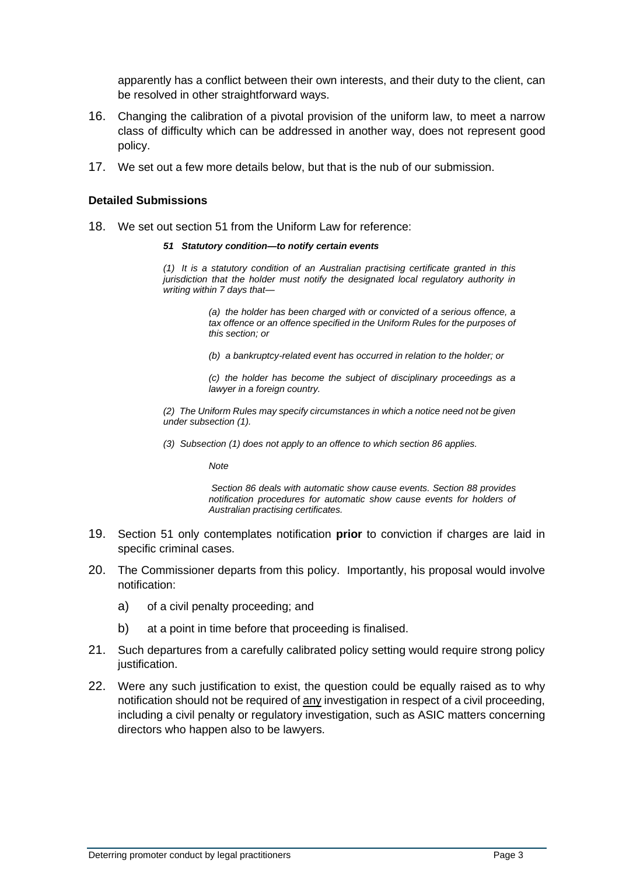apparently has a conflict between their own interests, and their duty to the client, can be resolved in other straightforward ways.

- 16. Changing the calibration of a pivotal provision of the uniform law, to meet a narrow class of difficulty which can be addressed in another way, does not represent good policy.
- 17. We set out a few more details below, but that is the nub of our submission.

### **Detailed Submissions**

- 18. We set out section 51 from the Uniform Law for reference:
	- *51 Statutory condition—to notify certain events*

*(1) It is a statutory condition of an Australian practising certificate granted in this jurisdiction that the holder must notify the designated local regulatory authority in writing within 7 days that—*

> *(a) the holder has been charged with or convicted of a serious offence, a tax offence or an offence specified in the Uniform Rules for the purposes of this section; or*

*(b) a bankruptcy-related event has occurred in relation to the holder; or*

*(c) the holder has become the subject of disciplinary proceedings as a lawyer in a foreign country.*

*(2) The Uniform Rules may specify circumstances in which a notice need not be given under subsection (1).*

*(3) Subsection (1) does not apply to an offence to which section 86 applies.*

*Note*

*Section 86 deals with automatic show cause events. Section 88 provides notification procedures for automatic show cause events for holders of Australian practising certificates.*

- 19. Section 51 only contemplates notification **prior** to conviction if charges are laid in specific criminal cases.
- 20. The Commissioner departs from this policy. Importantly, his proposal would involve notification:
	- a) of a civil penalty proceeding; and
	- b) at a point in time before that proceeding is finalised.
- 21. Such departures from a carefully calibrated policy setting would require strong policy justification.
- 22. Were any such justification to exist, the question could be equally raised as to why notification should not be required of any investigation in respect of a civil proceeding, including a civil penalty or regulatory investigation, such as ASIC matters concerning directors who happen also to be lawyers.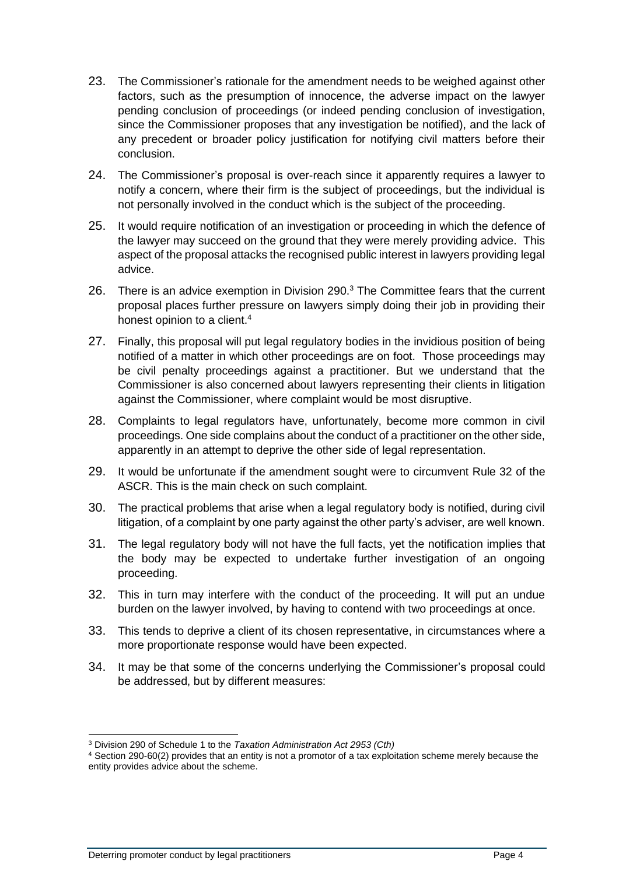- 23. The Commissioner's rationale for the amendment needs to be weighed against other factors, such as the presumption of innocence, the adverse impact on the lawyer pending conclusion of proceedings (or indeed pending conclusion of investigation, since the Commissioner proposes that any investigation be notified), and the lack of any precedent or broader policy justification for notifying civil matters before their conclusion.
- 24. The Commissioner's proposal is over-reach since it apparently requires a lawyer to notify a concern, where their firm is the subject of proceedings, but the individual is not personally involved in the conduct which is the subject of the proceeding.
- 25. It would require notification of an investigation or proceeding in which the defence of the lawyer may succeed on the ground that they were merely providing advice. This aspect of the proposal attacks the recognised public interest in lawyers providing legal advice.
- 26. There is an advice exemption in Division 290.<sup>3</sup> The Committee fears that the current proposal places further pressure on lawyers simply doing their job in providing their honest opinion to a client.<sup>4</sup>
- 27. Finally, this proposal will put legal regulatory bodies in the invidious position of being notified of a matter in which other proceedings are on foot. Those proceedings may be civil penalty proceedings against a practitioner. But we understand that the Commissioner is also concerned about lawyers representing their clients in litigation against the Commissioner, where complaint would be most disruptive.
- 28. Complaints to legal regulators have, unfortunately, become more common in civil proceedings. One side complains about the conduct of a practitioner on the other side, apparently in an attempt to deprive the other side of legal representation.
- 29. It would be unfortunate if the amendment sought were to circumvent Rule 32 of the ASCR. This is the main check on such complaint.
- 30. The practical problems that arise when a legal regulatory body is notified, during civil litigation, of a complaint by one party against the other party's adviser, are well known.
- 31. The legal regulatory body will not have the full facts, yet the notification implies that the body may be expected to undertake further investigation of an ongoing proceeding.
- 32. This in turn may interfere with the conduct of the proceeding. It will put an undue burden on the lawyer involved, by having to contend with two proceedings at once.
- 33. This tends to deprive a client of its chosen representative, in circumstances where a more proportionate response would have been expected.
- 34. It may be that some of the concerns underlying the Commissioner's proposal could be addressed, but by different measures:

<sup>3</sup> Division 290 of Schedule 1 to the *Taxation Administration Act 2953 (Cth)*

<sup>4</sup> Section 290-60(2) provides that an entity is not a promotor of a tax exploitation scheme merely because the entity provides advice about the scheme.